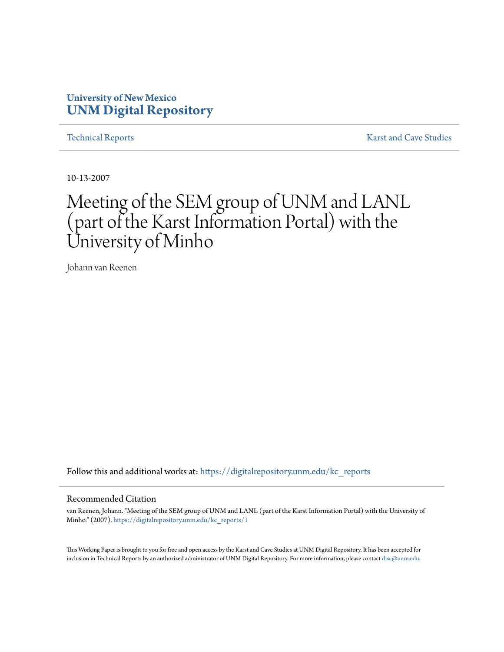## **University of New Mexico [UNM Digital Repository](https://digitalrepository.unm.edu?utm_source=digitalrepository.unm.edu%2Fkc_reports%2F1&utm_medium=PDF&utm_campaign=PDFCoverPages)**

[Technical Reports](https://digitalrepository.unm.edu/kc_reports?utm_source=digitalrepository.unm.edu%2Fkc_reports%2F1&utm_medium=PDF&utm_campaign=PDFCoverPages) **[Karst and Cave Studies](https://digitalrepository.unm.edu/karst_cave_studies?utm_source=digitalrepository.unm.edu%2Fkc_reports%2F1&utm_medium=PDF&utm_campaign=PDFCoverPages)** 

10-13-2007

## Meeting of the SEM group of UNM and LANL (part of the Karst Information Portal) with the University of Minho

Johann van Reenen

Follow this and additional works at: [https://digitalrepository.unm.edu/kc\\_reports](https://digitalrepository.unm.edu/kc_reports?utm_source=digitalrepository.unm.edu%2Fkc_reports%2F1&utm_medium=PDF&utm_campaign=PDFCoverPages)

## Recommended Citation

van Reenen, Johann. "Meeting of the SEM group of UNM and LANL (part of the Karst Information Portal) with the University of Minho." (2007). [https://digitalrepository.unm.edu/kc\\_reports/1](https://digitalrepository.unm.edu/kc_reports/1?utm_source=digitalrepository.unm.edu%2Fkc_reports%2F1&utm_medium=PDF&utm_campaign=PDFCoverPages)

This Working Paper is brought to you for free and open access by the Karst and Cave Studies at UNM Digital Repository. It has been accepted for inclusion in Technical Reports by an authorized administrator of UNM Digital Repository. For more information, please contact [disc@unm.edu](mailto:disc@unm.edu).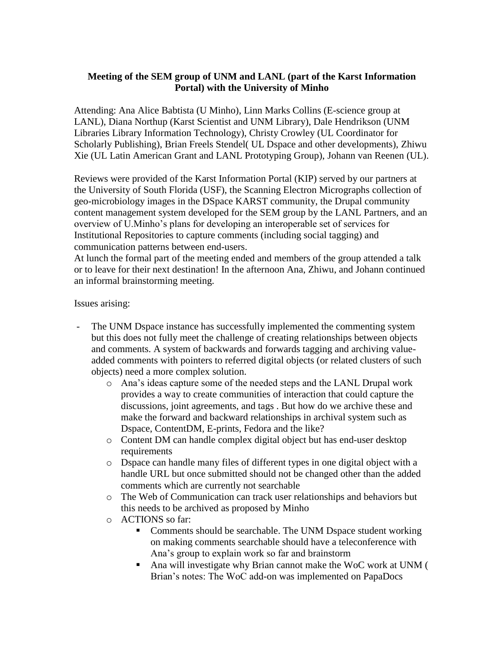## **Meeting of the SEM group of UNM and LANL (part of the Karst Information Portal) with the University of Minho**

Attending: Ana Alice Babtista (U Minho), Linn Marks Collins (E-science group at LANL), Diana Northup (Karst Scientist and UNM Library), Dale Hendrikson (UNM Libraries Library Information Technology), Christy Crowley (UL Coordinator for Scholarly Publishing), Brian Freels Stendel( UL Dspace and other developments), Zhiwu Xie (UL Latin American Grant and LANL Prototyping Group), Johann van Reenen (UL).

Reviews were provided of the Karst Information Portal (KIP) served by our partners at the University of South Florida (USF), the Scanning Electron Micrographs collection of geo-microbiology images in the DSpace KARST community, the Drupal community content management system developed for the SEM group by the LANL Partners, and an overview of U.Minho's plans for developing an interoperable set of services for Institutional Repositories to capture comments (including social tagging) and communication patterns between end-users.

At lunch the formal part of the meeting ended and members of the group attended a talk or to leave for their next destination! In the afternoon Ana, Zhiwu, and Johann continued an informal brainstorming meeting.

Issues arising:

- The UNM Dspace instance has successfully implemented the commenting system but this does not fully meet the challenge of creating relationships between objects and comments. A system of backwards and forwards tagging and archiving valueadded comments with pointers to referred digital objects (or related clusters of such objects) need a more complex solution.
	- o Ana's ideas capture some of the needed steps and the LANL Drupal work provides a way to create communities of interaction that could capture the discussions, joint agreements, and tags . But how do we archive these and make the forward and backward relationships in archival system such as Dspace, ContentDM, E-prints, Fedora and the like?
	- o Content DM can handle complex digital object but has end-user desktop requirements
	- o Dspace can handle many files of different types in one digital object with a handle URL but once submitted should not be changed other than the added comments which are currently not searchable
	- o The Web of Communication can track user relationships and behaviors but this needs to be archived as proposed by Minho
	- o ACTIONS so far:
		- Comments should be searchable. The UNM Dspace student working on making comments searchable should have a teleconference with Ana's group to explain work so far and brainstorm
		- Ana will investigate why Brian cannot make the WoC work at UNM ( Brian's notes: The WoC add-on was implemented on PapaDocs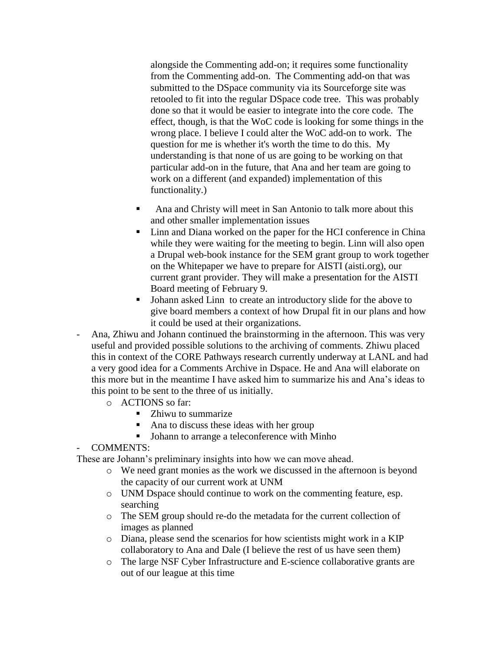alongside the Commenting add-on; it requires some functionality from the Commenting add-on. The Commenting add-on that was submitted to the DSpace community via its Sourceforge site was retooled to fit into the regular DSpace code tree. This was probably done so that it would be easier to integrate into the core code. The effect, though, is that the WoC code is looking for some things in the wrong place. I believe I could alter the WoC add-on to work. The question for me is whether it's worth the time to do this. My understanding is that none of us are going to be working on that particular add-on in the future, that Ana and her team are going to work on a different (and expanded) implementation of this functionality.)

- Ana and Christy will meet in San Antonio to talk more about this and other smaller implementation issues
- Linn and Diana worked on the paper for the HCI conference in China while they were waiting for the meeting to begin. Linn will also open a Drupal web-book instance for the SEM grant group to work together on the Whitepaper we have to prepare for AISTI (aisti.org), our current grant provider. They will make a presentation for the AISTI Board meeting of February 9.
- Johann asked Linn to create an introductory slide for the above to give board members a context of how Drupal fit in our plans and how it could be used at their organizations.
- Ana, Zhiwu and Johann continued the brainstorming in the afternoon. This was very useful and provided possible solutions to the archiving of comments. Zhiwu placed this in context of the CORE Pathways research currently underway at LANL and had a very good idea for a Comments Archive in Dspace. He and Ana will elaborate on this more but in the meantime I have asked him to summarize his and Ana's ideas to this point to be sent to the three of us initially.
	- o ACTIONS so far:
		- Zhiwu to summarize
		- Ana to discuss these ideas with her group
		- Johann to arrange a teleconference with Minho

- COMMENTS:

These are Johann's preliminary insights into how we can move ahead.

- o We need grant monies as the work we discussed in the afternoon is beyond the capacity of our current work at UNM
- o UNM Dspace should continue to work on the commenting feature, esp. searching
- o The SEM group should re-do the metadata for the current collection of images as planned
- o Diana, please send the scenarios for how scientists might work in a KIP collaboratory to Ana and Dale (I believe the rest of us have seen them)
- o The large NSF Cyber Infrastructure and E-science collaborative grants are out of our league at this time